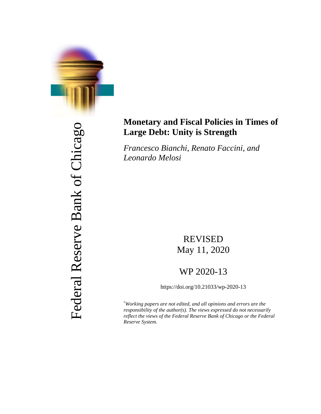

# Federal Reserve Bank of Chicago Federal Reserve Bank of Chicago

# **Monetary and Fiscal Policies in Times of Large Debt: Unity is Strength**

*Francesco Bianchi, Renato Faccini, and Leonardo Melosi*

# REVISED May 11, 2020

# WP 2020-13

https://doi.org/10.21033/wp-2020-13

\* *Working papers are not edited, and all opinions and errors are the responsibility of the author(s). The views expressed do not necessarily reflect the views of the Federal Reserve Bank of Chicago or the Federal Reserve System.*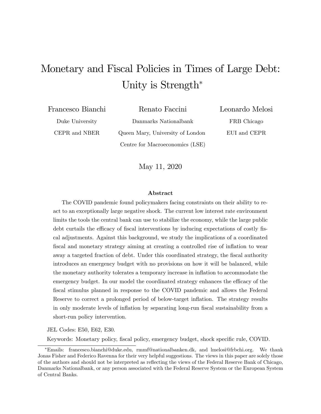# Monetary and Fiscal Policies in Times of Large Debt: Unity is Strength<sup>\*</sup>

| Francesco Bianchi | Renato Faccini                   | Leonardo Melosi |
|-------------------|----------------------------------|-----------------|
| Duke University   | Danmarks Nationalbank            | FRB Chicago     |
| CEPR and NBER     | Queen Mary, University of London | EUI and CEPR    |
|                   | Centre for Macroeconomics (LSE)  |                 |

May 11, 2020

#### Abstract

The COVID pandemic found policymakers facing constraints on their ability to react to an exceptionally large negative shock. The current low interest rate environment limits the tools the central bank can use to stabilize the economy, while the large public debt curtails the efficacy of fiscal interventions by inducing expectations of costly fiscal adjustments. Against this background, we study the implications of a coordinated fiscal and monetary strategy aiming at creating a controlled rise of inflation to wear away a targeted fraction of debt. Under this coordinated strategy, the fiscal authority introduces an emergency budget with no provisions on how it will be balanced, while the monetary authority tolerates a temporary increase in inflation to accommodate the emergency budget. In our model the coordinated strategy enhances the efficacy of the Öscal stimulus planned in response to the COVID pandemic and allows the Federal Reserve to correct a prolonged period of below-target inflation. The strategy results in only moderate levels of inflation by separating long-run fiscal sustainability from a short-run policy intervention.

JEL Codes: E50, E62, E30.

Keywords: Monetary policy, fiscal policy, emergency budget, shock specific rule, COVID.

Emails: francesco.bianchi@duke.edu, rmmf@nationalbanken.dk, and lmelosi@frbchi.org. We thank Jonas Fisher and Federico Ravenna for their very helpful suggestions. The views in this paper are solely those of the authors and should not be interpreted as reflecting the views of the Federal Reserve Bank of Chicago, Danmarks Nationalbank, or any person associated with the Federal Reserve System or the European System of Central Banks.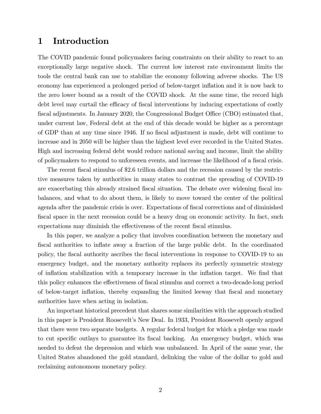## 1 Introduction

The COVID pandemic found policymakers facing constraints on their ability to react to an exceptionally large negative shock. The current low interest rate environment limits the tools the central bank can use to stabilize the economy following adverse shocks. The US economy has experienced a prolonged period of below-target inflation and it is now back to the zero lower bound as a result of the COVID shock. At the same time, the record high debt level may curtail the efficacy of fiscal interventions by inducing expectations of costly fiscal adjustments. In January 2020, the Congressional Budget Office (CBO) estimated that, under current law, Federal debt at the end of this decade would be higher as a percentage of GDP than at any time since 1946. If no Öscal adjustment is made, debt will continue to increase and in 2050 will be higher than the highest level ever recorded in the United States. High and increasing federal debt would reduce national saving and income, limit the ability of policymakers to respond to unforeseen events, and increase the likelihood of a fiscal crisis.

The recent fiscal stimulus of \$2.6 trillion dollars and the recession caused by the restrictive measures taken by authorities in many states to contrast the spreading of COVID-19 are exacerbating this already strained fiscal situation. The debate over widening fiscal imbalances, and what to do about them, is likely to move toward the center of the political agenda after the pandemic crisis is over. Expectations of fiscal corrections and of diminished fiscal space in the next recession could be a heavy drag on economic activity. In fact, such expectations may diminish the effectiveness of the recent fiscal stimulus.

In this paper, we analyze a policy that involves coordination between the monetary and fiscal authorities to inflate away a fraction of the large public debt. In the coordinated policy, the Öscal authority ascribes the Öscal interventions in response to COVID-19 to an emergency budget, and the monetary authority replaces its perfectly symmetric strategy of inflation stabilization with a temporary increase in the inflation target. We find that this policy enhances the effectiveness of fiscal stimulus and correct a two-decade-long period of below-target inflation, thereby expanding the limited leeway that fiscal and monetary authorities have when acting in isolation.

An important historical precedent that shares some similarities with the approach studied in this paper is President Roosevelt's New Deal. In 1933, President Roosevelt openly argued that there were two separate budgets. A regular federal budget for which a pledge was made to cut specific outlays to guarantee its fiscal backing. An emergency budget, which was needed to defeat the depression and which was unbalanced. In April of the same year, the United States abandoned the gold standard, delinking the value of the dollar to gold and reclaiming autonomous monetary policy.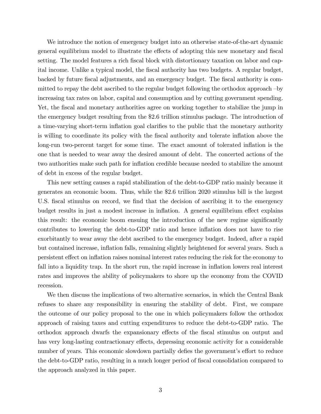We introduce the notion of emergency budget into an otherwise state-of-the-art dynamic general equilibrium model to illustrate the effects of adopting this new monetary and fiscal setting. The model features a rich fiscal block with distortionary taxation on labor and capital income. Unlike a typical model, the fiscal authority has two budgets. A regular budget, backed by future fiscal adjustments, and an emergency budget. The fiscal authority is committed to repay the debt ascribed to the regular budget following the orthodox approach  $-$ by increasing tax rates on labor, capital and consumption and by cutting government spending. Yet, the fiscal and monetary authorities agree on working together to stabilize the jump in the emergency budget resulting from the \$2.6 trillion stimulus package. The introduction of a time-varying short-term inflation goal clarifies to the public that the monetary authority is willing to coordinate its policy with the fiscal authority and tolerate inflation above the long-run two-percent target for some time. The exact amount of tolerated inflation is the one that is needed to wear away the desired amount of debt. The concerted actions of the two authorities make such path for inflation credible because needed to stabilize the amount of debt in excess of the regular budget.

This new setting causes a rapid stabilization of the debt-to-GDP ratio mainly because it generates an economic boom. Thus, while the \$2.6 trillion 2020 stimulus bill is the largest U.S. fiscal stimulus on record, we find that the decision of ascribing it to the emergency budget results in just a modest increase in inflation. A general equilibrium effect explains this result: the economic boom ensuing the introduction of the new regime significantly contributes to lowering the debt-to-GDP ratio and hence inflation does not have to rise exorbitantly to wear away the debt ascribed to the emergency budget. Indeed, after a rapid but contained increase, inflation falls, remaining slightly heightened for several years. Such a persistent effect on inflation raises nominal interest rates reducing the risk for the economy to fall into a liquidity trap. In the short run, the rapid increase in inflation lowers real interest rates and improves the ability of policymakers to shore up the economy from the COVID recession.

We then discuss the implications of two alternative scenarios, in which the Central Bank refuses to share any responsibility in ensuring the stability of debt. First, we compare the outcome of our policy proposal to the one in which policymakers follow the orthodox approach of raising taxes and cutting expenditures to reduce the debt-to-GDP ratio. The orthodox approach dwarfs the expansionary effects of the fiscal stimulus on output and has very long-lasting contractionary effects, depressing economic activity for a considerable number of years. This economic slowdown partially defies the government's effort to reduce the debt-to-GDP ratio, resulting in a much longer period of fiscal consolidation compared to the approach analyzed in this paper.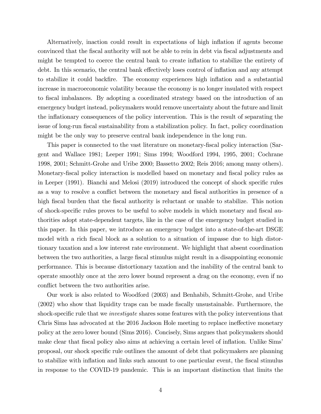Alternatively, inaction could result in expectations of high inflation if agents become convinced that the fiscal authority will not be able to rein in debt via fiscal adjustments and might be tempted to coerce the central bank to create inflation to stabilize the entirety of debt. In this scenario, the central bank effectively loses control of inflation and any attempt to stabilize it could backfire. The economy experiences high inflation and a substantial increase in macroeconomic volatility because the economy is no longer insulated with respect to Öscal imbalances. By adopting a coordinated strategy based on the introduction of an emergency budget instead, policymakers would remove uncertainty about the future and limit the inflationary consequences of the policy intervention. This is the result of separating the issue of long-run fiscal sustainability from a stabilization policy. In fact, policy coordination might be the only way to preserve central bank independence in the long run.

This paper is connected to the vast literature on monetary-fiscal policy interaction (Sargent and Wallace 1981; Leeper 1991; Sims 1994; Woodford 1994, 1995, 2001; Cochrane 1998, 2001; Schmitt-Grohe and Uribe 2000; Bassetto 2002; Reis 2016; among many others). Monetary-fiscal policy interaction is modelled based on monetary and fiscal policy rules as in Leeper  $(1991)$ . Bianchi and Melosi  $(2019)$  introduced the concept of shock specific rules as a way to resolve a conflict between the monetary and fiscal authorities in presence of a high fiscal burden that the fiscal authority is reluctant or unable to stabilize. This notion of shock-specific rules proves to be useful to solve models in which monetary and fiscal authorities adopt state-dependent targets, like in the case of the emergency budget studied in this paper. In this paper, we introduce an emergency budget into a state-of-the-art DSGE model with a rich fiscal block as a solution to a situation of impasse due to high distortionary taxation and a low interest rate environment. We highlight that absent coordination between the two authorities, a large fiscal stimulus might result in a disappointing economic performance. This is because distortionary taxation and the inability of the central bank to operate smoothly once at the zero lower bound represent a drag on the economy, even if no conflict between the two authorities arise.

Our work is also related to Woodford (2003) and Benhabib, Schmitt-Grohe, and Uribe (2002) who show that liquidity traps can be made Öscally unsustainable. Furthermore, the shock-specific rule that we *investigate* shares some features with the policy interventions that Chris Sims has advocated at the 2016 Jackson Hole meeting to replace ineffective monetary policy at the zero lower bound (Sims 2016). Concisely, Sims argues that policymakers should make clear that fiscal policy also aims at achieving a certain level of inflation. Unlike Sims' proposal, our shock specific rule outlines the amount of debt that policymakers are planning to stabilize with inflation and links such amount to one particular event, the fiscal stimulus in response to the COVID-19 pandemic. This is an important distinction that limits the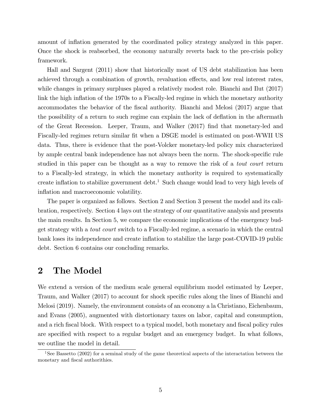amount of inflation generated by the coordinated policy strategy analyzed in this paper. Once the shock is reabsorbed, the economy naturally reverts back to the pre-crisis policy framework.

Hall and Sargent (2011) show that historically most of US debt stabilization has been achieved through a combination of growth, revaluation effects, and low real interest rates, while changes in primary surpluses played a relatively modest role. Bianchi and Ilut (2017) link the high inflation of the 1970s to a Fiscally-led regime in which the monetary authority accommodates the behavior of the Öscal authority. Bianchi and Melosi (2017) argue that the possibility of a return to such regime can explain the lack of deflation in the aftermath of the Great Recession. Leeper, Traum, and Walker (2017) Önd that monetary-led and Fiscally-led regimes return similar fit when a DSGE model is estimated on post-WWII US data. Thus, there is evidence that the post-Volcker monetary-led policy mix characterized by ample central bank independence has not always been the norm. The shock-specific rule studied in this paper can be thought as a way to remove the risk of a *tout court* return to a Fiscally-led strategy, in which the monetary authority is required to systematically create inflation to stabilize government debt.<sup>1</sup> Such change would lead to very high levels of inflation and macroeconomic volatility.

The paper is organized as follows. Section 2 and Section 3 present the model and its calibration, respectively. Section 4 lays out the strategy of our quantitative analysis and presents the main results. In Section 5, we compare the economic implications of the emergency budget strategy with a tout court switch to a Fiscally-led regime, a scenario in which the central bank loses its independence and create inflation to stabilize the large post-COVID-19 public debt. Section 6 contains our concluding remarks.

## 2 The Model

We extend a version of the medium scale general equilibrium model estimated by Leeper, Traum, and Walker (2017) to account for shock specific rules along the lines of Bianchi and Melosi (2019). Namely, the environment consists of an economy a la Christiano, Eichenbaum, and Evans (2005), augmented with distortionary taxes on labor, capital and consumption, and a rich fiscal block. With respect to a typical model, both monetary and fiscal policy rules are specified with respect to a regular budget and an emergency budget. In what follows, we outline the model in detail.

<sup>&</sup>lt;sup>1</sup>See Bassetto (2002) for a seminal study of the game theoretical aspects of the interactation between the monetary and fiscal authorithies.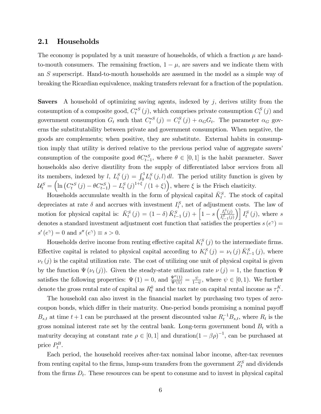#### 2.1 Households

The economy is populated by a unit measure of households, of which a fraction  $\mu$  are handto-mouth consumers. The remaining fraction,  $1 - \mu$ , are savers and we indicate them with an S superscript. Hand-to-mouth households are assumed in the model as a simple way of breaking the Ricardian equivalence, making transfers relevant for a fraction of the population.

**Savers** A household of optimizing saving agents, indexed by  $j$ , derives utility from the consumption of a composite good,  $C_t^{*S}(j)$ , which comprises private consumption  $C_t^S(j)$  and government consumption  $G_t$  such that  $C_t^{*S}(j) = C_t^S(j) + \alpha_G G_t$ . The parameter  $\alpha_G$  governs the substitutability between private and government consumption. When negative, the goods are complements; when positive, they are substitute. External habits in consumption imply that utility is derived relative to the previous period value of aggregate savers' consumption of the composite good  $\theta C_{t-1}^{*S}$ , where  $\theta \in [0,1]$  is the habit parameter. Saver households also derive disutility from the supply of differentiated labor services from all its members, indexed by l,  $L_t^S(j) = \int_0^1 L_t^S(j, l) dl$ . The period utility function is given by  $\mathcal{U}_{t}^{S} = \left(\ln\left(C_{t}^{*S}\left(j\right) - \theta C_{t-1}^{*S}\right) - L_{t}^{S}\left(j\right)^{1+\xi}/\left(1+\xi\right)\right),$  where  $\xi$  is the Frisch elasticity.

Households accumulate wealth in the form of physical capital  $\bar{K}_t^S$ . The stock of capital depreciates at rate  $\delta$  and accrues with investment  $I_t^S$ , net of adjustment costs. The law of motion for physical capital is:  $\bar{K}_t^S(j) = (1 - \delta) \bar{K}_{t-1}^S(j) + \left[1 - s \left( \frac{I_t^S(j)}{I_{t-1}^S(j)} \right) \right]$  $\left[\frac{I_t^S(j)}{I_{t-1}^S(j)}\right] I_t^S(j)$ , where s denotes a standard investment adjustment cost function that satisfies the properties  $s(e^{\gamma}) =$  $s'(e^{\gamma}) = 0$  and  $s''(e^{\gamma}) \equiv s > 0$ .

Households derive income from renting effective capital  $K_t^S(j)$  to the intermediate firms. Effective capital is related to physical capital according to  $K_t^S(j) = \nu_t(j) \bar{K}_{t-1}^S(j)$ , where  $\nu_t(j)$  is the capital utilization rate. The cost of utilizing one unit of physical capital is given by the function  $\Psi(\nu_t (j))$ . Given the steady-state utilization rate  $\nu(j) = 1$ , the function  $\Psi$ satisfies the following properties:  $\Psi(1) = 0$ , and  $\frac{\Psi''(1)}{\Psi'(1)} = \frac{\psi}{1-\psi(1)}$  $\frac{\psi}{1-\psi}$ , where  $\psi \in [0,1)$ . We further denote the gross rental rate of capital as  $R_t^k$  and the tax rate on capital rental income as  $\tau_t^K$ .

The household can also invest in the financial market by purchasing two types of zerocoupon bonds, which differ in their maturity. One-period bonds promising a nominal payoff  $B_{s,t}$  at time  $t+1$  can be purchased at the present discounted value  $R_t^{-1}B_{s,t}$ , where  $R_t$  is the gross nominal interest rate set by the central bank. Long-term government bond  $B_t$  with a maturity decaying at constant rate  $\rho \in [0, 1]$  and duration $(1 - \beta \rho)^{-1}$ , can be purchased at price  $P_t^B$ .

Each period, the household receives after-tax nominal labor income, after-tax revenues from renting capital to the firms, lump-sum transfers from the government  $Z_t^S$  and dividends from the firms  $D_t$ . These resources can be spent to consume and to invest in physical capital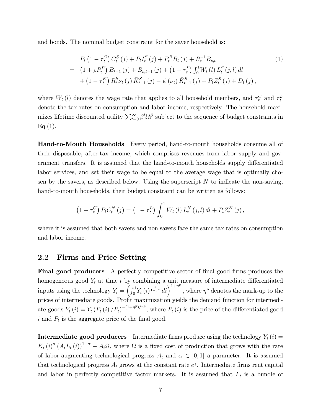and bonds. The nominal budget constraint for the saver household is:

$$
P_t (1 - \tau_t^C) C_t^S (j) + P_t I_t^S (j) + P_t^B B_t (j) + R_t^{-1} B_{s,t}
$$
  
\n
$$
= (1 + \rho P_t^B) B_{t-1} (j) + B_{s,t-1} (j) + (1 - \tau_t^L) \int_0^1 W_t (l) L_t^S (j, l) dl
$$
  
\n
$$
+ (1 - \tau_t^K) R_t^k \nu_t (j) \bar{K}_{t-1}^S (j) - \psi (\nu_t) \bar{K}_{t-1}^S (j) + P_t Z_t^S (j) + D_t (j),
$$
\n
$$
(1)
$$

where  $W_t(l)$  denotes the wage rate that applies to all household members, and  $\tau_t^C$  and  $\tau_t^L$ denote the tax rates on consumption and labor income, respectively. The household maximizes lifetime discounted utility  $\sum_{t=0}^{\infty} \beta^t \mathcal{U}_t^S$  subject to the sequence of budget constraints in  $Eq.(1).$ 

Hand-to-Mouth Households Every period, hand-to-mouth households consume all of their disposable, after-tax income, which comprises revenues from labor supply and government transfers. It is assumed that the hand-to-mouth households supply differentiated labor services, and set their wage to be equal to the average wage that is optimally chosen by the savers, as described below. Using the superscript  $N$  to indicate the non-saving, hand-to-mouth households, their budget constraint can be written as follows:

$$
(1 + \tau_t^C) P_t C_t^N (j) = (1 - \tau_t^L) \int_0^1 W_t (l) L_t^N (j, l) dl + P_t Z_t^N (j),
$$

where it is assumed that both savers and non savers face the same tax rates on consumption and labor income.

#### 2.2 Firms and Price Setting

Final good producers A perfectly competitive sector of final good firms produces the homogeneous good  $Y_t$  at time t by combining a unit measure of intermediate differentiated inputs using the technology  $Y_t = \left(\int_0^1 Y_t(i)^{\frac{1}{1+\eta p}} di\right)^{1+\eta^p}$ , where  $\eta^p$  denotes the mark-up to the prices of intermediate goods. Profit maximization yields the demand function for intermediate goods  $Y_t(i) = Y_t (P_t(i) / P_t)^{-(1 + \eta^p)/\eta^p}$ , where  $P_t(i)$  is the price of the differentiated good  $i$  and  $P_t$  is the aggregate price of the final good.

**Intermediate good producers** Intermediate firms produce using the technology  $Y_t(i)$  =  $K_t(i)^\alpha (A_t L_t(i))^{1-\alpha} - A_t \Omega$ , where  $\Omega$  is a fixed cost of production that grows with the rate of labor-augmenting technological progress  $A_t$  and  $\alpha \in [0,1]$  a parameter. It is assumed that technological progress  $A_t$  grows at the constant rate  $e^{\gamma}$ . Intermediate firms rent capital and labor in perfectly competitive factor markets. It is assumed that  $L_t$  is a bundle of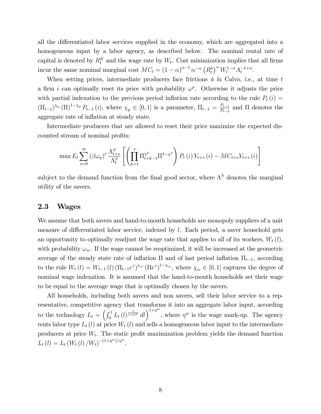all the differentiated labor services supplied in the economy, which are aggregated into a homogeneous input by a labor agency, as described below. The nominal rental rate of capital is denoted by  $R_t^K$  and the wage rate by  $W_t$ . Cost minimization implies that all firms incur the same nominal marginal cost  $MC_t = (1 - \alpha)^{\alpha - 1} \alpha^{-\alpha} (R_t^k)^{\alpha} W_t^{1 - \alpha} A_t^{-1 + \alpha}$ .

When setting prices, intermediate producers face frictions  $\dot{a}$  la Calvo, i.e., at time t a firm i can optimally reset its price with probability  $\omega^p$ . Otherwise it adjusts the price with partial indexation to the previous period inflation rate according to the rule  $P_t(i) =$  $(\Pi_{t-1})^{\chi_p} (\Pi)^{1-\chi_p} P_{t-1} (i)$ , where  $\chi_p \in [0,1]$  is a parameter,  $\Pi_{t-1} = \frac{P_{t-1}}{P_{t-2}}$  $\frac{P_{t-1}}{P_{t-2}}$  and  $\Pi$  denotes the aggregate rate of inflation at steady state.

Intermediate producers that are allowed to reset their price maximize the expected discounted stream of nominal profits:

$$
\max E_{t} \sum_{s=0}^{\infty} (\beta \omega_{p})^{s} \frac{\Lambda_{t+s}^{S}}{\Lambda_{t}^{S}} \left[ \left( \prod_{k=1}^{s} \Pi_{t+k-1}^{\chi^{p}} \Pi^{1-\chi^{p}} \right) P_{t}(i) Y_{t+s}(i) - MC_{t+s} Y_{t+s}(i) \right]
$$

subject to the demand function from the final good sector, where  $\Lambda<sup>S</sup>$  denotes the marginal utility of the savers.

#### 2.3 Wages

We assume that both savers and hand-to-mouth households are monopoly suppliers of a unit measure of differentiated labor service, indexed by  $l$ . Each period, a saver household gets an opportunity to optimally readjust the wage rate that applies to all of its workers,  $W_t(l)$ , with probability  $\omega_w$ . If the wage cannot be reoptimized, it will be increased at the geometric average of the steady state rate of inflation  $\Pi$  and of last period inflation  $\Pi_{t-1}$ , according to the rule  $W_t(l) = W_{t-1}(l) (\Pi_{t-1} e^{\gamma})^{\chi_w} (\Pi e^{\gamma})^{1-\chi_w}$ , where  $\chi_w \in [0,1]$  captures the degree of nominal wage indexation. It is assumed that the hand-to-mouth households set their wage to be equal to the average wage that is optimally chosen by the savers.

All households, including both savers and non savers, sell their labor service to a representative, competitive agency that transforms it into an aggregate labor input, according to the technology  $L_t = \left(\int_0^1 L_t(l)^{\frac{1}{1+\eta^w}} dl\right)^{1+\eta^w}$ , where  $\eta^w$  is the wage mark-up. The agency rents labor type  $L_t(l)$  at price  $W_t(l)$  and sells a homogeneous labor input to the intermediate producers at price  $W_t$ . The static profit maximization problem yields the demand function  $L_t (l) = L_t (W_t (l) / W_t)^{-(1 + \eta^w)/\eta^w}.$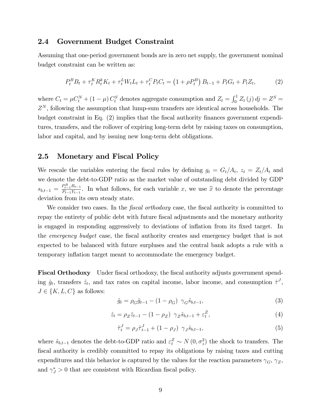#### 2.4 Government Budget Constraint

Assuming that one-period government bonds are in zero net supply, the government nominal budget constraint can be written as:

$$
P_t^B B_t + \tau_t^K R_t^K K_t + \tau_t^L W_t L_t + \tau_t^C P_t C_t = \left(1 + \rho P_t^B\right) B_{t-1} + P_t G_t + P_t Z_t, \tag{2}
$$

where  $C_t = \mu C_t^N + (1 - \mu) C_t^S$  denotes aggregate consumption and  $Z_t = \int_0^1 Z_t(j) \, dj = Z^S =$  $Z<sup>N</sup>$ , following the assumption that lump-sum transfers are identical across households. The budget constraint in Eq. (2) implies that the fiscal authority finances government expenditures, transfers, and the rollover of expiring long-term debt by raising taxes on consumption, labor and capital, and by issuing new long-term debt obligations.

#### 2.5 Monetary and Fiscal Policy

We rescale the variables entering the fiscal rules by defining  $g_t = G_t/A_t$ ,  $z_t = Z_t/A_t$  and we denote the debt-to-GDP ratio as the market value of outstanding debt divided by GDP  $s_{b,t-1} = \frac{P_{t-1}^B B_{t-1}}{P_{t-1}Y_{t-1}}$  $\frac{P_{t-1}D_{t-1}}{P_{t-1}Y_{t-1}}$ . In what follows, for each variable x, we use  $\hat{x}$  to denote the percentage deviation from its own steady state.

We consider two cases. In the *fiscal orthodoxy* case, the fiscal authority is committed to repay the entirety of public debt with future fiscal adjustments and the monetary authority is engaged in responding aggressively to deviations of inflation from its fixed target. In the *emergency budget* case, the fiscal authority creates and emergency budget that is not expected to be balanced with future surpluses and the central bank adopts a rule with a temporary ináation target meant to accommodate the emergency budget.

Fiscal Orthodoxy Under fiscal orthodoxy, the fiscal authority adjusts government spending  $\hat{g}_t$ , transfers  $\hat{z}_t$ , and tax rates on capital income, labor income, and consumption  $\hat{\tau}^J$ ,  $J \in \{K, L, C\}$  as follows:

$$
\hat{g}_t = \rho_G \hat{g}_{t-1} - (1 - \rho_G) \gamma_G \hat{s}_{b,t-1},
$$
\n(3)

$$
\hat{z}_t = \rho_Z \hat{z}_{t-1} - (1 - \rho_Z) \ \gamma_Z \hat{s}_{b,t-1} + \varepsilon_t^Z,\tag{4}
$$

$$
\hat{\tau}_t^J = \rho_J \hat{\tau}_{t-1}^J + (1 - \rho_J) \ \gamma_J \hat{s}_{b,t-1},\tag{5}
$$

where  $\hat{s}_{b,t-1}$  denotes the debt-to-GDP ratio and  $\varepsilon_t^Z \sim N(0, \sigma_z^2)$  the shock to transfers. The fiscal authority is credibly committed to repay its obligations by raising taxes and cutting expenditures and this behavior is captured by the values for the reaction parameters  $\gamma_G$ ,  $\gamma_Z$ , and  $\gamma_J^* > 0$  that are consistent with Ricardian fiscal policy.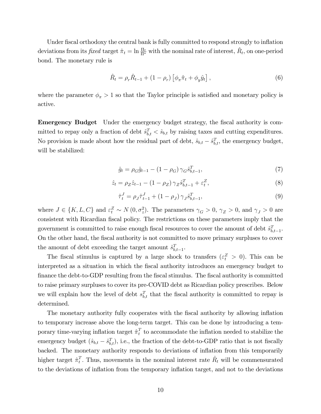Under fiscal orthodoxy the central bank is fully committed to respond strongly to inflation deviations from its *fixed* target  $\hat{\pi}_t = \ln \frac{\Pi_t}{\Pi^*}$  with the nominal rate of interest,  $\hat{R}_t$ , on one-period bond. The monetary rule is

$$
\hat{R}_t = \rho_r \hat{R}_{t-1} + (1 - \rho_r) \left[ \phi_\pi \hat{\pi}_t + \phi_y \hat{y}_t \right],
$$
\n(6)

where the parameter  $\phi_{\pi} > 1$  so that the Taylor principle is satisfied and monetary policy is active.

Emergency Budget Under the emergency budget strategy, the fiscal authority is committed to repay only a fraction of debt  $\hat{s}^T_{b,t} < \hat{s}_{b,t}$  by raising taxes and cutting expenditures. No provision is made about how the residual part of debt,  $\hat{s}_{b,t} - \hat{s}_{b,t}^T$ , the emergency budget, will be stabilized:

$$
\hat{g}_t = \rho_G \hat{g}_{t-1} - (1 - \rho_G) \gamma_G \hat{s}_{b,t-1}^T,\tag{7}
$$

$$
\hat{z}_t = \rho_Z \hat{z}_{t-1} - (1 - \rho_Z) \gamma_Z \hat{s}_{b,t-1}^T + \varepsilon_t^Z, \tag{8}
$$

$$
\hat{\tau}_t^J = \rho_J \hat{\tau}_{t-1}^J + (1 - \rho_J) \gamma_J \hat{s}_{b,t-1}^T,
$$
\n(9)

where  $J \in \{K, L, C\}$  and  $\varepsilon_t^Z \sim N(0, \sigma_z^2)$ . The parameters  $\gamma_G > 0$ ,  $\gamma_Z > 0$ , and  $\gamma_J > 0$  are consistent with Ricardian fiscal policy. The restrictions on these parameters imply that the government is committed to raise enough fiscal resources to cover the amount of debt  $\hat{s}^T_{b,t-1}$ . On the other hand, the fiscal authority is not committed to move primary surpluses to cover the amount of debt exceeding the target amount  $\hat{s}^T_{b,t-1}$ .

The fiscal stimulus is captured by a large shock to transfers  $(\varepsilon_t^Z > 0)$ . This can be interpreted as a situation in which the fiscal authority introduces an emergency budget to finance the debt-to-GDP resulting from the fiscal stimulus. The fiscal authority is committed to raise primary surpluses to cover its pre-COVID debt as Ricardian policy prescribes. Below we will explain how the level of debt  $s_{b,t}^T$  that the fiscal authority is committed to repay is determined.

The monetary authority fully cooperates with the fiscal authority by allowing inflation to temporary increase above the long-term target. This can be done by introducing a temporary time-varying inflation target  $\hat{\pi}^T_t$  $t_t$ <sup>T</sup> to accommodate the inflation needed to stabilize the emergency budget  $(\hat{s}_{b,t} - \hat{s}_{b,t}^T)$ , i.e., the fraction of the debt-to-GDP ratio that is not fiscally backed. The monetary authority responds to deviations of inflation from this temporarily higher target  $\hat{\pi}_t^T$ <sup>T</sup>. Thus, movements in the nominal interest rate  $\hat{R}_t$  will be commensurated to the deviations of inflation from the temporary inflation target, and not to the deviations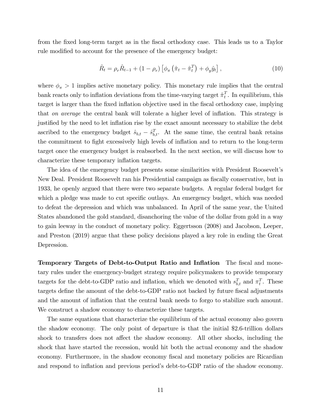from the fixed long-term target as in the fiscal orthodoxy case. This leads us to a Taylor rule modified to account for the presence of the emergency budget:

$$
\hat{R}_t = \rho_r \hat{R}_{t-1} + (1 - \rho_r) \left[ \phi_\pi \left( \hat{\pi}_t - \hat{\pi}_t^T \right) + \phi_y \hat{y}_t \right],
$$
\n(10)

where  $\phi_{\pi} > 1$  implies active monetary policy. This monetary rule implies that the central bank reacts only to inflation deviations from the time-varying target  $\hat{\pi}_t^T$  $_t^T$ . In equilibrium, this target is larger than the fixed inflation objective used in the fiscal orthodoxy case, implying that on average the central bank will tolerate a higher level of inflation. This strategy is justified by the need to let inflation rise by the exact amount necessary to stabilize the debt ascribed to the emergency budget  $\hat{s}_{b,t} - \hat{s}_{b,t}^T$ . At the same time, the central bank retains the commitment to fight excessively high levels of inflation and to return to the long-term target once the emergency budget is reabsorbed. In the next section, we will discuss how to characterize these temporary inflation targets.

The idea of the emergency budget presents some similarities with President Rooseveltís New Deal. President Roosevelt ran his Presidential campaign as fiscally conservative, but in 1933, he openly argued that there were two separate budgets. A regular federal budget for which a pledge was made to cut specific outlays. An emergency budget, which was needed to defeat the depression and which was unbalanced. In April of the same year, the United States abandoned the gold standard, disanchoring the value of the dollar from gold in a way to gain leeway in the conduct of monetary policy. Eggertsson (2008) and Jacobson, Leeper, and Preston (2019) argue that these policy decisions played a key role in ending the Great Depression.

Temporary Targets of Debt-to-Output Ratio and Inflation The fiscal and monetary rules under the emergency-budget strategy require policymakers to provide temporary targets for the debt-to-GDP ratio and inflation, which we denoted with  $s_{b,t}^T$  and  $\pi_t^T$ . These targets define the amount of the debt-to-GDP ratio not backed by future fiscal adjustments and the amount of inflation that the central bank needs to forgo to stabilize such amount. We construct a shadow economy to characterize these targets.

The same equations that characterize the equilibrium of the actual economy also govern the shadow economy. The only point of departure is that the initial \$2.6-trillion dollars shock to transfers does not affect the shadow economy. All other shocks, including the shock that have started the recession, would hit both the actual economy and the shadow economy. Furthermore, in the shadow economy fiscal and monetary policies are Ricardian and respond to inflation and previous period's debt-to-GDP ratio of the shadow economy.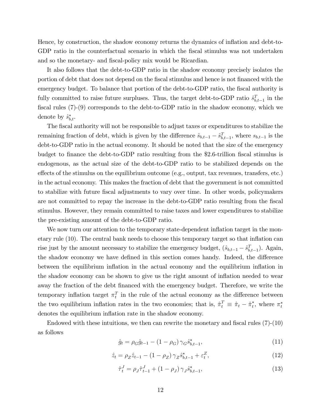Hence, by construction, the shadow economy returns the dynamics of inflation and debt-to-GDP ratio in the counterfactual scenario in which the fiscal stimulus was not undertaken and so the monetary- and fiscal-policy mix would be Ricardian.

It also follows that the debt-to-GDP ratio in the shadow economy precisely isolates the portion of debt that does not depend on the fiscal stimulus and hence is not financed with the emergency budget. To balance that portion of the debt-to-GDP ratio, the fiscal authority is fully committed to raise future surpluses. Thus, the target debt-to-GDP ratio  $\hat{s}^T_{b,t-1}$  in the fiscal rules  $(7)-(9)$  corresponds to the debt-to-GDP ratio in the shadow economy, which we denote by  $\hat{s}^*_{b,t}$ .

The fiscal authority will not be responsible to adjust taxes or expenditures to stabilize the remaining fraction of debt, which is given by the difference  $\hat{s}_{b,t-1} - \hat{s}_{b,t-1}^T$ , where  $s_{b,t-1}$  is the debt-to-GDP ratio in the actual economy. It should be noted that the size of the emergency budget to finance the debt-to-GDP ratio resulting from the \$2.6-trillion fiscal stimulus is endogenous, as the actual size of the debt-to-GDP ratio to be stabilized depends on the effects of the stimulus on the equilibrium outcome (e.g., output, tax revenues, transfers, etc.) in the actual economy. This makes the fraction of debt that the government is not committed to stabilize with future fiscal adjustments to vary over time. In other words, policymakers are not committed to repay the increase in the debt-to-GDP ratio resulting from the fiscal stimulus. However, they remain committed to raise taxes and lower expenditures to stabilize the pre-existing amount of the debt-to-GDP ratio.

We now turn our attention to the temporary state-dependent inflation target in the monetary rule (10). The central bank needs to choose this temporary target so that ináation can rise just by the amount necessary to stabilize the emergency budget,  $(\hat{s}_{b,t-1} - \hat{s}_{b,t-1}^T)$ . Again, the shadow economy we have defined in this section comes handy. Indeed, the difference between the equilibrium inflation in the actual economy and the equilibrium inflation in the shadow economy can be shown to give us the right amount of inflation needed to wear away the fraction of the debt financed with the emergency budget. Therefore, we write the temporary inflation target  $\pi_t^T$  in the rule of the actual economy as the difference between the two equilibrium inflation rates in the two economies; that is,  $\hat{\pi}_t^T \equiv \hat{\pi}_t - \hat{\pi}_t^*$ , where  $\pi_t^*$ denotes the equilibrium inflation rate in the shadow economy.

Endowed with these intuitions, we then can rewrite the monetary and fiscal rules  $(7)-(10)$ as follows

$$
\hat{g}_t = \rho_G \hat{g}_{t-1} - (1 - \rho_G) \gamma_G \hat{s}_{b,t-1}^*,\tag{11}
$$

$$
\hat{z}_t = \rho_Z \hat{z}_{t-1} - (1 - \rho_Z) \gamma_Z \hat{s}_{b,t-1}^* + \varepsilon_t^Z, \tag{12}
$$

$$
\hat{\tau}_t^J = \rho_J \hat{\tau}_{t-1}^J + (1 - \rho_J) \gamma_J \hat{s}_{b,t-1}^*,\tag{13}
$$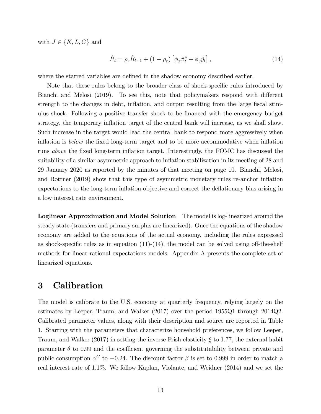with  $J \in \{K, L, C\}$  and

$$
\hat{R}_t = \rho_r \hat{R}_{t-1} + (1 - \rho_r) \left[ \phi_\pi \hat{\pi}_t^* + \phi_y \hat{y}_t \right],
$$
\n(14)

where the starred variables are defined in the shadow economy described earlier.

Note that these rules belong to the broader class of shock-specific rules introduced by Bianchi and Melosi (2019). To see this, note that policymakers respond with different strength to the changes in debt, inflation, and output resulting from the large fiscal stimulus shock. Following a positive transfer shock to be financed with the emergency budget strategy, the temporary inflation target of the central bank will increase, as we shall show. Such increase in the target would lead the central bank to respond more aggressively when inflation is below the fixed long-term target and to be more accommodative when inflation runs *above* the fixed long-term inflation target. Interestingly, the FOMC has discussed the suitability of a similar asymmetric approach to inflation stabilization in its meeting of 28 and 29 January 2020 as reported by the minutes of that meeting on page 10. Bianchi, Melosi, and Rottner (2019) show that this type of asymmetric monetary rules re-anchor ináation expectations to the long-term inflation objective and correct the deflationary bias arising in a low interest rate environment.

Loglinear Approximation and Model Solution The model is log-linearized around the steady state (transfers and primary surplus are linearized). Once the equations of the shadow economy are added to the equations of the actual economy, including the rules expressed as shock-specific rules as in equation  $(11)-(14)$ , the model can be solved using off-the-shelf methods for linear rational expectations models. Appendix A presents the complete set of linearized equations.

## 3 Calibration

The model is calibrate to the U.S. economy at quarterly frequency, relying largely on the estimates by Leeper, Traum, and Walker (2017) over the period 1955Q1 through 2014Q2. Calibrated parameter values, along with their description and source are reported in Table 1. Starting with the parameters that characterize household preferences, we follow Leeper, Traum, and Walker (2017) in setting the inverse Frish elasticity  $\xi$  to 1.77, the external habit parameter  $\theta$  to 0.99 and the coefficient governing the substitutability between private and public consumption  $\alpha^G$  to  $-0.24$ . The discount factor  $\beta$  is set to 0.999 in order to match a real interest rate of 1.1%. We follow Kaplan, Violante, and Weidner (2014) and we set the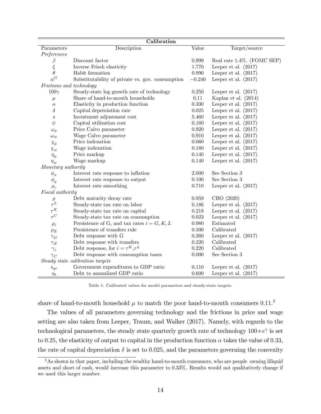| Calibration                      |                                                  |             |                            |  |  |
|----------------------------------|--------------------------------------------------|-------------|----------------------------|--|--|
| Parameters                       | Description                                      | Value       | Target/source              |  |  |
| Preferences                      |                                                  |             |                            |  |  |
| $\beta$                          | Discount factor                                  | 0.999       | Real rate 1.4%. (FOMC SEP) |  |  |
| $\xi$                            | Inverse Frisch elasticity                        | 1.770       | Leeper et al. $(2017)$     |  |  |
| $\theta$                         | Habit formation                                  | 0.990       | Leeper et al. $(2017)$     |  |  |
| $\alpha^G$                       | Substitutability of private vs. gov. consumption | $-0.240$    | Leeper et al. $(2017)$     |  |  |
| Frictions and technology         |                                                  |             |                            |  |  |
| $100\gamma$                      | Steady-state log growth rate of technology       | 0.250       | Leeper et al. $(2017)$     |  |  |
| $\mu$                            | Share of hand-to-mouth households                | 0.11        | Kaplan et al. $(2014)$     |  |  |
| $\alpha$                         | Elasticity in production function                | 0.330       | Leeper et al. $(2017)$     |  |  |
| $\delta$                         | Capital depreciation rate                        | 0.025       | Leeper et al. $(2017)$     |  |  |
| $\boldsymbol{s}$                 | Investment adjustment cost                       | 5.460       | Leeper et al. $(2017)$     |  |  |
| $\psi$                           | Capital utilization cost                         | 0.160       | Leeper et al. $(2017)$     |  |  |
| $\omega_p$                       | Price Calvo parameter                            | 0.920       | Leeper et al. $(2017)$     |  |  |
| $\omega_w$                       | Wage Calvo parameter                             | 0.910       | Leeper et al. $(2017)$     |  |  |
| $\chi_p$                         | Price indexation                                 | 0.060       | Leeper et al. $(2017)$     |  |  |
| $\chi_w$                         | Wage indexation                                  | 0.180       | Leeper et al. $(2017)$     |  |  |
| $\eta_p$                         | Price markup                                     | 0.140       | Leeper et al. $(2017)$     |  |  |
| $\eta_w$                         | Wage markup                                      | 0.140       | Leeper et al. $(2017)$     |  |  |
| Monetary authority               |                                                  |             |                            |  |  |
| $\phi_{\pi}$                     | Interest rate response to inflation              | 2.000       | See Section 3              |  |  |
| $\phi_y$                         | Interest rate response to output                 | 0.100       | See Section 3              |  |  |
| $\rho_r$                         | Interest rate smoothing                          | 0.710       | Leeper et al. $(2017)$     |  |  |
| Fiscal authority                 |                                                  |             |                            |  |  |
| $\rho$                           | Debt maturity decay rate                         | 0.959       | CBO (2020)                 |  |  |
| $\tau^L$                         | Steady-state tax rate on labor                   | 0.186       | Leeper et al. $(2017)$     |  |  |
| $\tau^K$                         | Steady-state tax rate on capital                 | 0.218       | Leeper et al. $(2017)$     |  |  |
| $\tau^C$                         | Steady-state tax rate on consumption             | $\,0.023\,$ | Leeper et al. $(2017)$     |  |  |
| $\rho_i$                         | Persistence of G, and tax rates $i = G, K, L$    | 0.980       | Estimated                  |  |  |
| $\rho_Z$                         | Persistence of transfers rule                    | 0.500       | Calibrated                 |  |  |
| $\gamma_G$                       | Debt response with G                             | 0.260       | Leeper et al. $(2017)$     |  |  |
| $\gamma_Z$                       | Debt response with transfers                     | 0.220       | Calibrated                 |  |  |
| $\gamma_i$                       | Debt response, for $i = \tau^K, \tau^L$          | 0.220       | Calibrated                 |  |  |
| $\gamma_C$                       | Debt response with consumption taxes             | 0.000       | See Section 3              |  |  |
| Steady state calibration targets |                                                  |             |                            |  |  |
| $s_{gc}$                         | Government expenditures to GDP ratio             | 0.110       | Leeper et al. $(2017)$     |  |  |
| $s_b$                            | Debt to annualized GDP ratio                     | 0.600       | Leeper et al. $(2017)$     |  |  |

Table 1: Calibrated values for model parameters and steady-state targets.

share of hand-to-mouth household  $\mu$  to match the poor hand-to-mouth consumers 0.11.<sup>2</sup>

The values of all parameters governing technology and the frictions in price and wage setting are also taken from Leeper, Traum, and Walker (2017). Namely, with regards to the technological parameters, the steady state quarterly growth rate of technology  $100 * e^{\gamma}$  is set to 0.25, the elasticity of output to capital in the production function  $\alpha$  takes the value of 0.33, the rate of capital depreciation  $\delta$  is set to 0.025, and the parameters governing the convexity

<sup>&</sup>lt;sup>2</sup>As shown in that paper, including the wealthy hand-to-mouth consumers, who are people owning illiquid assets and short of cash, would increase this parameter to 0:33%. Results would not qualitatively change if we used this larger number.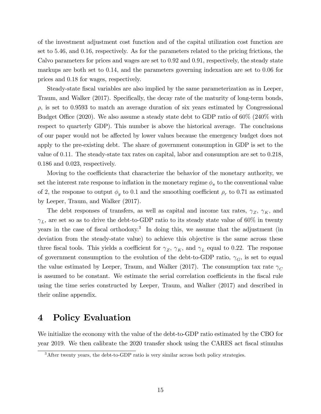of the investment adjustment cost function and of the capital utilization cost function are set to 5:46, and 0:16, respectively. As for the parameters related to the pricing frictions, the Calvo parameters for prices and wages are set to 0:92 and 0:91, respectively, the steady state markups are both set to 0.14, and the parameters governing indexation are set to 0.06 for prices and 0:18 for wages, respectively.

Steady-state fiscal variables are also implied by the same parameterization as in Leeper, Traum, and Walker (2017). Specifically, the decay rate of the maturity of long-term bonds,  $\rho$ , is set to 0.9593 to match an average duration of six years estimated by Congressional Budget Office (2020). We also assume a steady state debt to GDP ratio of  $60\%$  (240% with respect to quarterly GDP). This number is above the historical average. The conclusions of our paper would not be affected by lower values because the emergency budget does not apply to the pre-existing debt. The share of government consumption in GDP is set to the value of 0.11. The steady-state tax rates on capital, labor and consumption are set to 0.218, 0.186 and 0.023, respectively.

Moving to the coefficients that characterize the behavior of the monetary authority, we set the interest rate response to inflation in the monetary regime  $\phi_{\pi}$  to the conventional value of 2, the response to output  $\phi_y$  to 0.1 and the smoothing coefficient  $\rho_r$  to 0.71 as estimated by Leeper, Traum, and Walker (2017).

The debt responses of transfers, as well as capital and income tax rates,  $\gamma_Z$ ,  $\gamma_K$ , and  $\gamma_L$ , are set so as to drive the debt-to-GDP ratio to its steady state value of 60% in twenty years in the case of fiscal orthodoxy.<sup>3</sup> In doing this, we assume that the adjustment (in deviation from the steady-state value) to achieve this objective is the same across these three fiscal tools. This yields a coefficient for  $\gamma_Z$ ,  $\gamma_K$ , and  $\gamma_L$  equal to 0.22. The response of government consumption to the evolution of the debt-to-GDP ratio,  $\gamma_G$ , is set to equal the value estimated by Leeper, Traum, and Walker (2017). The consumption tax rate  $\gamma_C$ is assumed to be constant. We estimate the serial correlation coefficients in the fiscal rule using the time series constructed by Leeper, Traum, and Walker (2017) and described in their online appendix.

# 4 Policy Evaluation

We initialize the economy with the value of the debt-to-GDP ratio estimated by the CBO for year 2019. We then calibrate the 2020 transfer shock using the CARES act fiscal stimulus

<sup>&</sup>lt;sup>3</sup>After twenty years, the debt-to-GDP ratio is very similar across both policy strategies.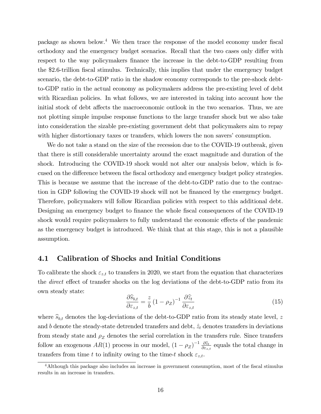package as shown below.<sup>4</sup> We then trace the response of the model economy under fiscal orthodoxy and the emergency budget scenarios. Recall that the two cases only differ with respect to the way policymakers finance the increase in the debt-to-GDP resulting from the \$2.6-trillion fiscal stimulus. Technically, this implies that under the emergency budget scenario, the debt-to-GDP ratio in the shadow economy corresponds to the pre-shock debtto-GDP ratio in the actual economy as policymakers address the pre-existing level of debt with Ricardian policies. In what follows, we are interested in taking into account how the initial stock of debt affects the macroeconomic outlook in the two scenarios. Thus, we are not plotting simple impulse response functions to the large transfer shock but we also take into consideration the sizable pre-existing government debt that policymakers aim to repay with higher distortionary taxes or transfers, which lowers the non savers' consumption.

We do not take a stand on the size of the recession due to the COVID-19 outbreak, given that there is still considerable uncertainty around the exact magnitude and duration of the shock. Introducing the COVID-19 shock would not alter our analysis below, which is focused on the difference between the fiscal orthodoxy and emergency budget policy strategies. This is because we assume that the increase of the debt-to-GDP ratio due to the contraction in GDP following the COVID-19 shock will not be financed by the emergency budget. Therefore, policymakers will follow Ricardian policies with respect to this additional debt. Designing an emergency budget to finance the whole fiscal consequences of the COVID-19 shock would require policymakers to fully understand the economic effects of the pandemic as the emergency budget is introduced. We think that at this stage, this is not a plausible assumption.

#### 4.1 Calibration of Shocks and Initial Conditions

To calibrate the shock  $\varepsilon_{z,t}$  to transfers in 2020, we start from the equation that characterizes the *direct* effect of transfer shocks on the log deviations of the debt-to-GDP ratio from its own steady state:

$$
\frac{\partial \widehat{s}_{b,t}}{\partial \varepsilon_{z,t}} = \frac{z}{b} \left( 1 - \rho_Z \right)^{-1} \frac{\partial \widehat{z}_t}{\partial \varepsilon_{z,t}} \tag{15}
$$

where  $\widehat{s}_{b,t}$  denotes the log-deviations of the debt-to-GDP ratio from its steady state level, z and b denote the steady-state detrended transfers and debt,  $\hat{z}_t$  denotes transfers in deviations from steady state and  $\rho_Z$  denotes the serial correlation in the transfers rule. Since transfers follow an exogenous  $AR(1)$  process in our model,  $(1 - \rho_Z)^{-1} \frac{\partial \hat{z}_t}{\partial \varepsilon_{z,t}}$  equals the total change in transfers from time t to infinity owing to the time-t shock  $\varepsilon_{z,t}$ .

 $4$ Although this package also includes an increase in government consumption, most of the fiscal stimulus results in an increase in transfers.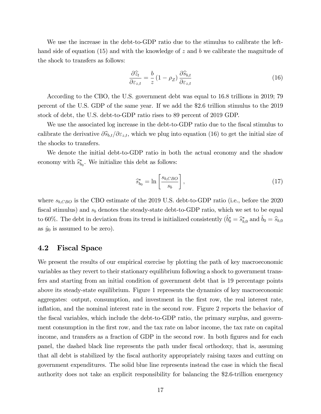We use the increase in the debt-to-GDP ratio due to the stimulus to calibrate the lefthand side of equation (15) and with the knowledge of z and b we calibrate the magnitude of the shock to transfers as follows:

$$
\frac{\partial \widehat{z}_t}{\partial \varepsilon_{z,t}} = \frac{b}{z} \left( 1 - \rho_Z \right) \frac{\partial \widehat{s}_{b,t}}{\partial \varepsilon_{z,t}} \tag{16}
$$

According to the CBO, the U.S. government debt was equal to 16.8 trillions in 2019; 79 percent of the U.S. GDP of the same year. If we add the \$2.6 trillion stimulus to the 2019 stock of debt, the U.S. debt-to-GDP ratio rises to 89 percent of 2019 GDP.

We use the associated log increase in the debt-to-GDP ratio due to the fiscal stimulus to calibrate the derivative  $\partial \hat{s}_{b,t}/\partial \varepsilon_{z,t}$ , which we plug into equation (16) to get the initial size of the shocks to transfers.

We denote the initial debt-to-GDP ratio in both the actual economy and the shadow economy with  $\widehat{s}_{b_0}^*$ . We initialize this debt as follows:

$$
\widehat{s}_{b_0}^* = \ln\left[\frac{s_{b,CBO}}{s_b}\right],\tag{17}
$$

where  $s_{b,CBO}$  is the CBO estimate of the 2019 U.S. debt-to-GDP ratio (i.e., before the 2020 fiscal stimulus) and  $s<sub>b</sub>$  denotes the steady-state debt-to-GDP ratio, which we set to be equal to 60%. The debt in deviation from its trend is initialized consistently  $(\hat{b}_0^* = \hat{s}_{b,0}^*$  and  $\hat{b}_0 = \hat{s}_{b,0}$ as  $\hat{y}_0$  is assumed to be zero).

#### 4.2 Fiscal Space

We present the results of our empirical exercise by plotting the path of key macroeconomic variables as they revert to their stationary equilibrium following a shock to government transfers and starting from an initial condition of government debt that is 19 percentage points above its steady-state equilibrium. Figure 1 represents the dynamics of key macroeconomic aggregates: output, consumption, and investment in the first row, the real interest rate, inflation, and the nominal interest rate in the second row. Figure 2 reports the behavior of the fiscal variables, which include the debt-to-GDP ratio, the primary surplus, and government consumption in the first row, and the tax rate on labor income, the tax rate on capital income, and transfers as a fraction of GDP in the second row. In both figures and for each panel, the dashed black line represents the path under Öscal orthodoxy, that is, assuming that all debt is stabilized by the Öscal authority appropriately raising taxes and cutting on government expenditures. The solid blue line represents instead the case in which the fiscal authority does not take an explicit responsibility for balancing the \$2.6-trillion emergency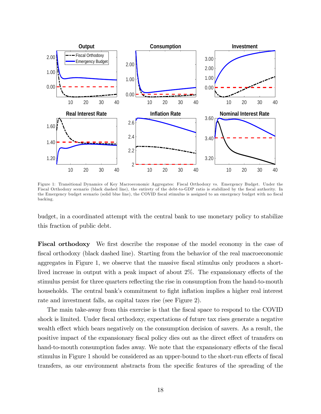

Figure 1: Transitional Dynamics of Key Macroeconomic Aggregates: Fiscal Orthodoxy vs. Emergency Budget. Under the Fiscal Orthodoxy scenario (black dashed line), the entirety of the debt-to-GDP ratio is stabilized by the fiscal authority. In the Emergency budget scenario (solid blue line), the COVID fiscal stimulus is assigned to an emergency budget with no fiscal backing.

budget, in a coordinated attempt with the central bank to use monetary policy to stabilize this fraction of public debt.

Fiscal orthodoxy We first describe the response of the model economy in the case of fiscal orthodoxy (black dashed line). Starting from the behavior of the real macroeconomic aggregates in Figure 1, we observe that the massive fiscal stimulus only produces a shortlived increase in output with a peak impact of about  $2\%$ . The expansionary effects of the stimulus persist for three quarters reflecting the rise in consumption from the hand-to-mouth households. The central bank's commitment to fight inflation implies a higher real interest rate and investment falls, as capital taxes rise (see Figure 2).

The main take-away from this exercise is that the Öscal space to respond to the COVID shock is limited. Under fiscal orthodoxy, expectations of future tax rises generate a negative wealth effect which bears negatively on the consumption decision of savers. As a result, the positive impact of the expansionary fiscal policy dies out as the direct effect of transfers on hand-to-mouth consumption fades away. We note that the expansionary effects of the fiscal stimulus in Figure 1 should be considered as an upper-bound to the short-run effects of fiscal transfers, as our environment abstracts from the specific features of the spreading of the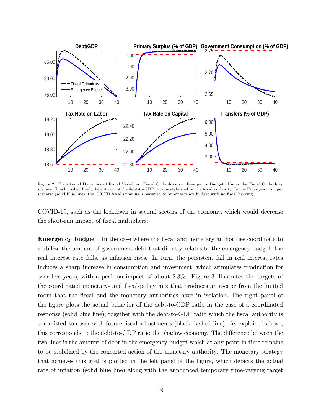

Figure 2: Transitional Dynamics of Fiscal Variables: Fiscal Orthodoxy vs. Emergency Budget. Under the Fiscal Orthodoxy scenario (black dashed line), the entirety of the debt-to-GDP ratio is stabilized by the fiscal authority. In the Emergency budget scenario (solid blue line), the COVID fiscal stimulus is assigned to an emergency budget with no fiscal backing.

COVID-19, such as the lockdown in several sectors of the economy, which would decrease the short-run impact of fiscal multipliers.

Emergency budget In the case where the fiscal and monetary authorities coordinate to stabilize the amount of government debt that directly relates to the emergency budget, the real interest rate falls, as inflation rises. In turn, the persistent fall in real interest rates induces a sharp increase in consumption and investment, which stimulates production for over Öve years, with a peak on impact of about 2.3%. Figure 3 illustrates the targets of the coordinated monetary- and Öscal-policy mix that produces an escape from the limited room that the fiscal and the monetary authorities have in isolation. The right panel of the Ögure plots the actual behavior of the debt-to-GDP ratio in the case of a coordinated response (solid blue line), together with the debt-to-GDP ratio which the fiscal authority is committed to cover with future fiscal adjustments (black dashed line). As explained above, this corresponds to the debt-to-GDP ratio the shadow economy. The difference between the two lines is the amount of debt in the emergency budget which at any point in time remains to be stabilized by the concerted action of the monetary authority. The monetary strategy that achieves this goal is plotted in the left panel of the figure, which depicts the actual rate of inflation (solid blue line) along with the announced temporary time-varying target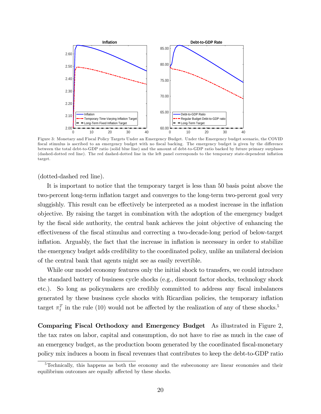

Figure 3: Monetary and Fiscal Policy Targets Under an Emergency Budget. Under the Emergency budget scenario, the COVID fiscal stimulus is ascribed to an emergency budget with no fiscal backing. The emergency budget is given by the difference between the total debt-to-GDP ratio (solid blue line) and the amount of debt-to-GDP ratio backed by future primary surpluses (dashed-dotted red line). The red dashed-dotted line in the left panel corresponds to the temporary state-dependent ináation target.

(dotted-dashed red line).

It is important to notice that the temporary target is less than 50 basis point above the two-percent long-term ináation target and converges to the long-term two-percent goal very sluggishly. This result can be effectively be interpreted as a modest increase in the inflation objective. By raising the target in combination with the adoption of the emergency budget by the Öscal side authority, the central bank achieves the joint objective of enhancing the effectiveness of the fiscal stimulus and correcting a two-decade-long period of below-target inflation. Arguably, the fact that the increase in inflation is necessary in order to stabilize the emergency budget adds credibility to the coordinated policy, unlike an unilateral decision of the central bank that agents might see as easily revertible.

While our model economy features only the initial shock to transfers, we could introduce the standard battery of business cycle shocks (e.g., discount factor shocks, technology shock etc.). So long as policymakers are credibly committed to address any fiscal imbalances generated by these business cycle shocks with Ricardian policies, the temporary ináation target  $\pi_t^T$  in the rule (10) would not be affected by the realization of any of these shocks.<sup>5</sup>

Comparing Fiscal Orthodoxy and Emergency Budget As illustrated in Figure 2, the tax rates on labor, capital and consumption, do not have to rise as much in the case of an emergency budget, as the production boom generated by the coordinated fiscal-monetary policy mix induces a boom in fiscal revenues that contributes to keep the debt-to-GDP ratio

<sup>&</sup>lt;sup>5</sup>Technically, this happens as both the economy and the subeconomy are linear economies and their equilibrium outcomes are equally affected by these shocks.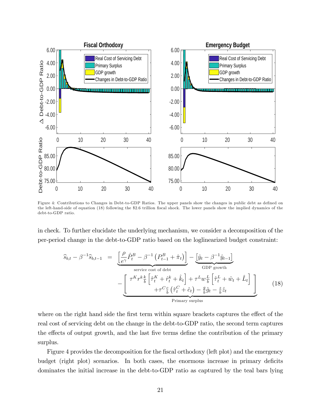

Figure 4: Contributions to Changes in Debt-to-GDP Ratios. The upper panels show the changes in public debt as defined on the left-hand-side of equation (18) following the \$2.6 trillion fiscal shock. The lower panels show the implied dynamics of the debt-to-GDP ratio.

in check. To further elucidate the underlying mechanism, we consider a decomposition of the per-period change in the debt-to-GDP ratio based on the loglinearized budget constraint:

$$
\widehat{s}_{b,t} - \beta^{-1} \widehat{s}_{b,t-1} = \underbrace{\left[\frac{\rho}{e^{\gamma}} \hat{P}_t^B - \beta^{-1} \left(P_{t-1}^B + \hat{\pi}_t\right)\right]}_{\text{service cost of debt}} - \underbrace{\left[\frac{\tau^K r^k \frac{k}{b} \left[\hat{\tau}_t^K + \hat{r}_t^k + \hat{k}_t\right] + \tau^L w \frac{L}{b} \left[\hat{\tau}_t^L + \hat{w}_t + \hat{L}_t\right]\right]}_{\text{Primary surplus}} \tag{18}
$$

where on the right hand side the first term within square brackets captures the effect of the real cost of servicing debt on the change in the debt-to-GDP ratio, the second term captures the effects of output growth, and the last five terms define the contribution of the primary surplus.

Figure 4 provides the decomposition for the fiscal orthodoxy (left plot) and the emergency budget (right plot) scenarios. In both cases, the enormous increase in primary deficits dominates the initial increase in the debt-to-GDP ratio as captured by the teal bars lying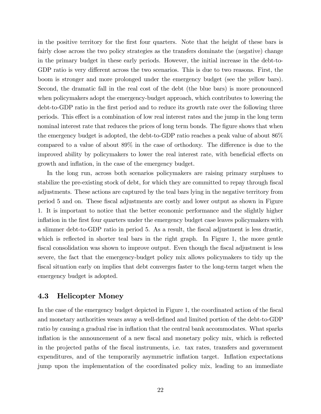in the positive territory for the first four quarters. Note that the height of these bars is fairly close across the two policy strategies as the transfers dominate the (negative) change in the primary budget in these early periods. However, the initial increase in the debt-to-GDP ratio is very different across the two scenarios. This is due to two reasons. First, the boom is stronger and more prolonged under the emergency budget (see the yellow bars). Second, the dramatic fall in the real cost of the debt (the blue bars) is more pronounced when policymakers adopt the emergency-budget approach, which contributes to lowering the debt-to-GDP ratio in the first period and to reduce its growth rate over the following three periods. This effect is a combination of low real interest rates and the jump in the long term nominal interest rate that reduces the prices of long term bonds. The figure shows that when the emergency budget is adopted, the debt-to-GDP ratio reaches a peak value of about 86% compared to a value of about  $89\%$  in the case of orthodoxy. The difference is due to the improved ability by policymakers to lower the real interest rate, with beneficial effects on growth and inflation, in the case of the emergency budget.

In the long run, across both scenarios policymakers are raising primary surpluses to stabilize the pre-existing stock of debt, for which they are committed to repay through fiscal adjustments. These actions are captured by the teal bars lying in the negative territory from period 5 and on. These Öscal adjustments are costly and lower output as shown in Figure 1. It is important to notice that the better economic performance and the slightly higher inflation in the first four quarters under the emergency budget case leaves policymakers with a slimmer debt-to-GDP ratio in period 5. As a result, the fiscal adjustment is less drastic, which is reflected in shorter teal bars in the right graph. In Figure 1, the more gentle fiscal consolidation was shown to improve output. Even though the fiscal adjustment is less severe, the fact that the emergency-budget policy mix allows policymakers to tidy up the fiscal situation early on implies that debt converges faster to the long-term target when the emergency budget is adopted.

#### 4.3 Helicopter Money

In the case of the emergency budget depicted in Figure 1, the coordinated action of the fiscal and monetary authorities wears away a well-defined and limited portion of the debt-to-GDP ratio by causing a gradual rise in inflation that the central bank accommodates. What sparks inflation is the announcement of a new fiscal and monetary policy mix, which is reflected in the projected paths of the Öscal instruments, i.e. tax rates, transfers and government expenditures, and of the temporarily asymmetric inflation target. Inflation expectations jump upon the implementation of the coordinated policy mix, leading to an immediate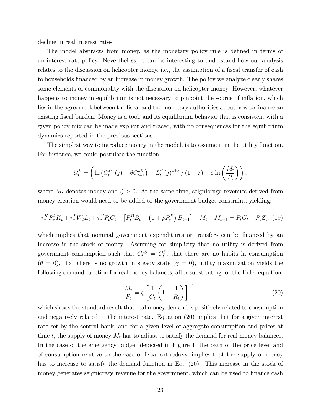decline in real interest rates.

The model abstracts from money, as the monetary policy rule is defined in terms of an interest rate policy. Nevertheless, it can be interesting to understand how our analysis relates to the discussion on helicopter money, i.e., the assumption of a fiscal transfer of cash to households financed by an increase in money growth. The policy we analyze clearly shares some elements of commonality with the discussion on helicopter money. However, whatever happens to money in equilibrium is not necessary to pinpoint the source of inflation, which lies in the agreement between the fiscal and the monetary authorities about how to finance an existing fiscal burden. Money is a tool, and its equilibrium behavior that is consistent with a given policy mix can be made explicit and traced, with no consequences for the equilibrium dynamics reported in the previous sections.

The simplest way to introduce money in the model, is to assume it in the utility function. For instance, we could postulate the function

$$
\mathcal{U}_{t}^{S} = \left(\ln\left(C_{t}^{*S}\left(j\right) - \theta C_{t-1}^{*S}\right) - L_{t}^{S}\left(j\right)^{1+\xi} / \left(1+\xi\right) + \zeta \ln\left(\frac{M_{t}}{P_{t}}\right)\right),
$$

where  $M_t$  denotes money and  $\zeta > 0$ . At the same time, seigniorage revenues derived from money creation would need to be added to the government budget constraint, yielding:

$$
\tau_t^K R_t^K K_t + \tau_t^L W_t L_t + \tau_t^C P_t C_t + \left[ P_t^B B_t - \left( 1 + \rho P_t^B \right) B_{t-1} \right] + M_t - M_{t-1} = P_t G_t + P_t Z_t, \tag{19}
$$

which implies that nominal government expenditures or transfers can be financed by an increase in the stock of money. Assuming for simplicity that no utility is derived from government consumption such that  $C_t^{*S} = C_t^S$ , that there are no habits in consumption  $(\theta = 0)$ , that there is no growth in steady state  $(\gamma = 0)$ , utility maximization yields the following demand function for real money balances, after substituting for the Euler equation:

$$
\frac{M_t}{P_t} = \zeta \left[ \frac{1}{C_t} \left( 1 - \frac{1}{R_t} \right) \right]^{-1},\tag{20}
$$

which shows the standard result that real money demand is positively related to consumption and negatively related to the interest rate. Equation (20) implies that for a given interest rate set by the central bank, and for a given level of aggregate consumption and prices at time t, the supply of money  $M_t$  has to adjust to satisfy the demand for real money balances. In the case of the emergency budget depicted in Figure 1, the path of the price level and of consumption relative to the case of Öscal orthodoxy, implies that the supply of money has to increase to satisfy the demand function in Eq. (20). This increase in the stock of money generates seigniorage revenue for the government, which can be used to finance cash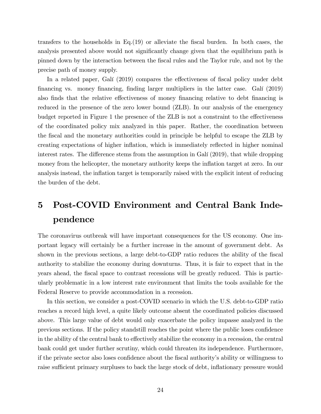transfers to the households in Eq. $(19)$  or alleviate the fiscal burden. In both cases, the analysis presented above would not significantly change given that the equilibrium path is pinned down by the interaction between the Öscal rules and the Taylor rule, and not by the precise path of money supply.

In a related paper, Galí (2019) compares the effectiveness of fiscal policy under debt financing vs. money financing, finding larger multipliers in the latter case. Galí (2019) also finds that the relative effectiveness of money financing relative to debt financing is reduced in the presence of the zero lower bound (ZLB). In our analysis of the emergency budget reported in Figure 1 the presence of the ZLB is not a constraint to the effectiveness of the coordinated policy mix analyzed in this paper. Rather, the coordination between the Öscal and the monetary authorities could in principle be helpful to escape the ZLB by creating expectations of higher inflation, which is immediately reflected in higher nominal interest rates. The difference stems from the assumption in Gali  $(2019)$ , that while dropping money from the helicopter, the monetary authority keeps the inflation target at zero. In our analysis instead, the inflation target is temporarily raised with the explicit intent of reducing the burden of the debt.

# 5 Post-COVID Environment and Central Bank Independence

The coronavirus outbreak will have important consequences for the US economy. One important legacy will certainly be a further increase in the amount of government debt. As shown in the previous sections, a large debt-to-GDP ratio reduces the ability of the fiscal authority to stabilize the economy during downturns. Thus, it is fair to expect that in the years ahead, the Öscal space to contrast recessions will be greatly reduced. This is particularly problematic in a low interest rate environment that limits the tools available for the Federal Reserve to provide accommodation in a recession.

In this section, we consider a post-COVID scenario in which the U.S. debt-to-GDP ratio reaches a record high level, a quite likely outcome absent the coordinated policies discussed above. This large value of debt would only exacerbate the policy impasse analyzed in the previous sections. If the policy standstill reaches the point where the public loses confidence in the ability of the central bank to effectively stabilize the economy in a recession, the central bank could get under further scrutiny, which could threaten its independence. Furthermore, if the private sector also loses confidence about the fiscal authority's ability or willingness to raise sufficient primary surpluses to back the large stock of debt, inflationary pressure would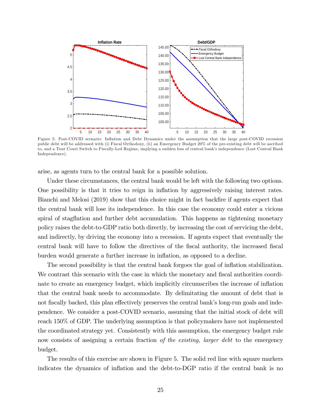

Figure 5: Post-COVID scenario: Inflation and Debt Dynamics under the assumption that the large post-COVID recession public debt will be addressed with (i) Fiscal Orthodoxy, (ii) an Emergency Budget 20% of the pre-existing debt will be ascribed to, and a Tout Court Switch to Fiscally-Led Regime, implying a sudden loss of central bank's independence (Lost Central Bank Independence).

arise, as agents turn to the central bank for a possible solution.

Under these circumstances, the central bank would be left with the following two options. One possibility is that it tries to reign in ináation by aggressively raising interest rates. Bianchi and Melosi (2019) show that this choice might in fact backfire if agents expect that the central bank will lose its independence. In this case the economy could enter a vicious spiral of stagflation and further debt accumulation. This happens as tightening monetary policy raises the debt-to-GDP ratio both directly, by increasing the cost of servicing the debt, and indirectly, by driving the economy into a recession. If agents expect that eventually the central bank will have to follow the directives of the fiscal authority, the increased fiscal burden would generate a further increase in inflation, as opposed to a decline.

The second possibility is that the central bank forgoes the goal of inflation stabilization. We contrast this scenario with the case in which the monetary and fiscal authorities coordinate to create an emergency budget, which implicitly circumscribes the increase of inflation that the central bank needs to accommodate. By delimitating the amount of debt that is not fiscally backed, this plan effectively preserves the central bank's long-run goals and independence. We consider a post-COVID scenario, assuming that the initial stock of debt will reach 150% of GDP. The underlying assumption is that policymakers have not implemented the coordinated strategy yet. Consistently with this assumption, the emergency budget rule now consists of assigning a certain fraction of the existing, larger debt to the emergency budget.

The results of this exercise are shown in Figure 5. The solid red line with square markers indicates the dynamics of inflation and the debt-to-DGP ratio if the central bank is no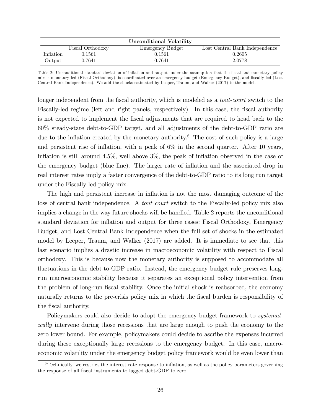| Unconditional Volatility |                  |                  |                                |  |
|--------------------------|------------------|------------------|--------------------------------|--|
|                          | Fiscal Orthodoxy | Emergency Budget | Lost Central Bank Independence |  |
| Inflation                | 0.1561           | 0.1561           | 0.2605                         |  |
| Output                   | 0.7641           | 0.7641           | 2.0778                         |  |

Table 2: Unconditional standard deviation of inflation and output under the assumption that the fiscal and monetary policy mix is monetary led (Fiscal Orthodoxy), is coordinated over an emergency budget (Emergency Budget), and fiscally led (Lost Central Bank Independence). We add the shocks estimated by Leeper, Traum, and Walker (2017) to the model.

longer independent from the fiscal authority, which is modeled as a *tout-court* switch to the Fiscally-led regime (left and right panels, respectively). In this case, the fiscal authority is not expected to implement the Öscal adjustments that are required to head back to the 60% steady-state debt-to-GDP target, and all adjustments of the debt-to-GDP ratio are due to the inflation created by the monetary authority.<sup>6</sup> The cost of such policy is a large and persistent rise of inflation, with a peak of  $6\%$  in the second quarter. After 10 years, inflation is still around  $4.5\%$ , well above  $3\%$ , the peak of inflation observed in the case of the emergency budget (blue line). The larger rate of inflation and the associated drop in real interest rates imply a faster convergence of the debt-to-GDP ratio to its long run target under the Fiscally-led policy mix.

The high and persistent increase in inflation is not the most damaging outcome of the loss of central bank independence. A *tout court* switch to the Fiscally-led policy mix also implies a change in the way future shocks will be handled. Table 2 reports the unconditional standard deviation for inflation and output for three cases: Fiscal Orthodoxy, Emergency Budget, and Lost Central Bank Independence when the full set of shocks in the estimated model by Leeper, Traum, and Walker (2017) are added. It is immediate to see that this last scenario implies a drastic increase in macroeconomic volatility with respect to Fiscal orthodoxy. This is because now the monetary authority is supposed to accommodate all fluctuations in the debt-to-GDP ratio. Instead, the emergency budget rule preserves longrun macroeconomic stability because it separates an exceptional policy intervention from the problem of long-run fiscal stability. Once the initial shock is reabsorbed, the economy naturally returns to the pre-crisis policy mix in which the fiscal burden is responsibility of the fiscal authority.

Policymakers could also decide to adopt the emergency budget framework to *systemat*ically intervene during those recessions that are large enough to push the economy to the zero lower bound. For example, policymakers could decide to ascribe the expenses incurred during these exceptionally large recessions to the emergency budget. In this case, macroeconomic volatility under the emergency budget policy framework would be even lower than

 $6$ Technically, we restrict the interest rate response to inflation, as well as the policy parameters governing the response of all fiscal instruments to lagged debt-GDP to zero.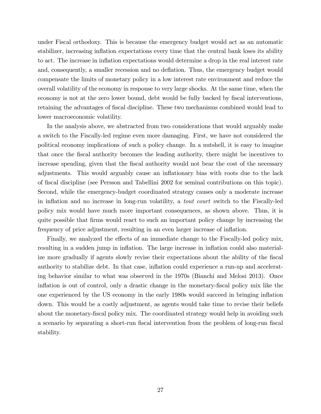under Fiscal orthodoxy. This is because the emergency budget would act as an automatic stabilizer, increasing inflation expectations every time that the central bank loses its ability to act. The increase in ináation expectations would determine a drop in the real interest rate and, consequently, a smaller recession and no deflation. Thus, the emergency budget would compensate the limits of monetary policy in a low interest rate environment and reduce the overall volatility of the economy in response to very large shocks. At the same time, when the economy is not at the zero lower bound, debt would be fully backed by fiscal interventions, retaining the advantages of fiscal discipline. These two mechanisms combined would lead to lower macroeconomic volatility.

In the analysis above, we abstracted from two considerations that would arguably make a switch to the Fiscally-led regime even more damaging. First, we have not considered the political economy implications of such a policy change. In a nutshell, it is easy to imagine that once the Öscal authority becomes the leading authority, there might be incentives to increase spending, given that the fiscal authority would not bear the cost of the necessary adjustments. This would arguably cause an ináationary bias with roots due to the lack of Öscal discipline (see Persson and Tabellini 2002 for seminal contributions on this topic). Second, while the emergency-budget coordinated strategy causes only a moderate increase in inflation and no increase in long-run volatility, a *tout court* switch to the Fiscally-led policy mix would have much more important consequences, as shown above. Thus, it is quite possible that Örms would react to such an important policy change by increasing the frequency of price adjustment, resulting in an even larger increase of inflation.

Finally, we analyzed the effects of an immediate change to the Fiscally-led policy mix, resulting in a sudden jump in inflation. The large increase in inflation could also materialize more gradually if agents slowly revise their expectations about the ability of the fiscal authority to stabilize debt. In that case, inflation could experience a run-up and accelerating behavior similar to what was observed in the 1970s (Bianchi and Melosi 2013). Once inflation is out of control, only a drastic change in the monetary-fiscal policy mix like the one experienced by the US economy in the early 1980s would succeed in bringing ináation down. This would be a costly adjustment, as agents would take time to revise their beliefs about the monetary-Öscal policy mix. The coordinated strategy would help in avoiding such a scenario by separating a short-run fiscal intervention from the problem of long-run fiscal stability.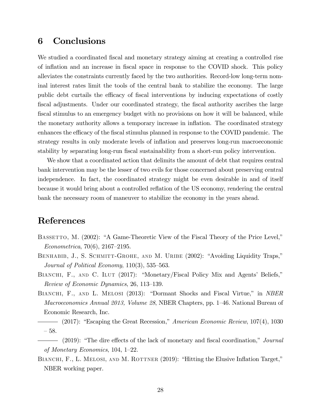# 6 Conclusions

We studied a coordinated fiscal and monetary strategy aiming at creating a controlled rise of inflation and an increase in fiscal space in response to the COVID shock. This policy alleviates the constraints currently faced by the two authorities. Record-low long-term nominal interest rates limit the tools of the central bank to stabilize the economy. The large public debt curtails the efficacy of fiscal interventions by inducing expectations of costly fiscal adjustments. Under our coordinated strategy, the fiscal authority ascribes the large fiscal stimulus to an emergency budget with no provisions on how it will be balanced, while the monetary authority allows a temporary increase in inflation. The coordinated strategy enhances the efficacy of the fiscal stimulus planned in response to the COVID pandemic. The strategy results in only moderate levels of inflation and preserves long-run macroeconomic stability by separating long-run fiscal sustainability from a short-run policy intervention.

We show that a coordinated action that delimits the amount of debt that requires central bank intervention may be the lesser of two evils for those concerned about preserving central independence. In fact, the coordinated strategy might be even desirable in and of itself because it would bring about a controlled reáation of the US economy, rendering the central bank the necessary room of maneuver to stabilize the economy in the years ahead.

# References

- BASSETTO, M. (2002): "A Game-Theoretic View of the Fiscal Theory of the Price Level,"  $Econometrica, 70(6), 2167-2195.$
- BENHABIB, J., S. SCHMITT-GROHE, AND M. URIBE (2002): "Avoiding Liquidity Traps," Journal of Political Economy,  $110(3)$ , 535–563.
- BIANCHI, F., AND C. ILUT (2017): "Monetary/Fiscal Policy Mix and Agents' Beliefs," Review of Economic Dynamics, 26, 113–139.
- BIANCHI, F., AND L. MELOSI (2013): "Dormant Shocks and Fiscal Virtue," in *NBER* Macroeconomics Annual 2013, Volume 28, NBER Chapters, pp. 1–46. National Bureau of Economic Research, Inc.

- $\frac{1}{2019}$ : "The dire effects of the lack of monetary and fiscal coordination," Journal of Monetary Economics,  $104, 1-22$ .
- BIANCHI, F., L. MELOSI, AND M. ROTTNER (2019): "Hitting the Elusive Inflation Target," NBER working paper.

<sup>- (2017): &</sup>quot;Escaping the Great Recession," American Economic Review, 107(4), 1030  $-58.$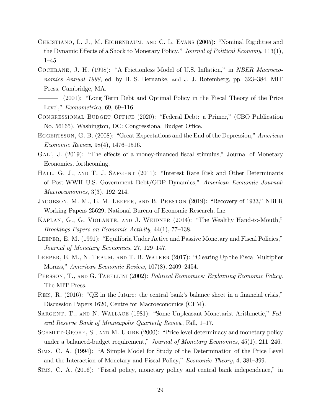- CHRISTIANO, L. J., M. EICHENBAUM, AND C. L. EVANS (2005): "Nominal Rigidities and the Dynamic Effects of a Shock to Monetary Policy," Journal of Political Economy, 113(1),  $1 - 45.$
- COCHRANE, J. H. (1998): "A Frictionless Model of U.S. Inflation," in *NBER Macroeco*nomics Annual 1998, ed. by B. S. Bernanke, and J. J. Rotemberg, pp. 323–384. MIT Press, Cambridge, MA.
- (2001): "Long Term Debt and Optimal Policy in the Fiscal Theory of the Price Level,"  $Econometrica$ , 69, 69–116.
- CONGRESSIONAL BUDGET OFFICE (2020): "Federal Debt: a Primer," (CBO Publication No. 56165). Washington, DC: Congressional Budget Office.
- EGGERTSSON, G. B. (2008): "Great Expectations and the End of the Depression," American Economic Review,  $98(4)$ , 1476–1516.
- GALÍ, J.  $(2019)$ : "The effects of a money-financed fiscal stimulus," Journal of Monetary Economics, forthcoming.
- HALL, G. J., AND T. J. SARGENT (2011): "Interest Rate Risk and Other Determinants of Post-WWII U.S. Government Debt/GDP Dynamics,î American Economic Journal:  $Macroeconomics, 3(3), 192-214.$
- JACOBSON, M. M., E. M. LEEPER, AND B. PRESTON  $(2019)$ : "Recovery of 1933," NBER Working Papers 25629, National Bureau of Economic Research, Inc.
- KAPLAN, G., G. VIOLANTE, AND J. WEIDNER (2014): "The Wealthy Hand-to-Mouth," Brookings Papers on Economic Activity,  $44(1)$ ,  $77-138$ .
- LEEPER, E. M. (1991): "Equilibria Under Active and Passive Monetary and Fiscal Policies," Journal of Monetary Economics, 27, 129–147.
- LEEPER, E. M., N. TRAUM, AND T. B. WALKER  $(2017)$ : "Clearing Up the Fiscal Multiplier Morass," American Economic Review,  $107(8)$ , 2409–2454.
- PERSSON, T., AND G. TABELLINI (2002): *Political Economics: Explaining Economic Policy*. The MIT Press.
- REIS, R.  $(2016)$ : "QE in the future: the central bank's balance sheet in a financial crisis," Discussion Papers 1620, Centre for Macroeconomics (CFM).
- SARGENT, T., AND N. WALLACE (1981): "Some Unpleasant Monetarist Arithmetic," Federal Reserve Bank of Minneapolis Quarterly Review, Fall,  $1-17$ .
- SCHMITT-GROHE, S., AND M. URIBE (2000): "Price level determinacy and monetary policy under a balanced-budget requirement," Journal of Monetary Economics,  $45(1)$ ,  $211-246$ .
- SIMS, C. A. (1994): "A Simple Model for Study of the Determination of the Price Level and the Interaction of Monetary and Fiscal Policy," Economic Theory, 4, 381–399.
- SIMS, C. A. (2016): "Fiscal policy, monetary policy and central bank independence," in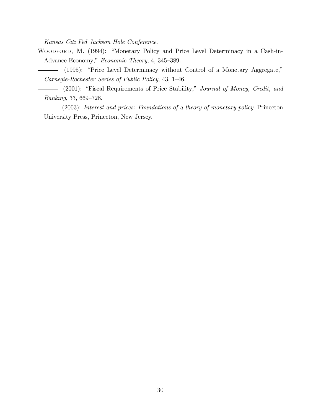Kansas Citi Fed Jackson Hole Conference.

WOODFORD, M. (1994): "Monetary Policy and Price Level Determinacy in a Cash-in-Advance Economy," Economic Theory, 4, 345–389.

(1995): "Price Level Determinacy without Control of a Monetary Aggregate," Carnegie-Rochester Series of Public Policy, 43, 1-46.

- (2001): "Fiscal Requirements of Price Stability," Journal of Money, Credit, and Banking, 33, 669–728.

(2003): Interest and prices: Foundations of a theory of monetary policy. Princeton  $\frac{1}{2}$ University Press, Princeton, New Jersey.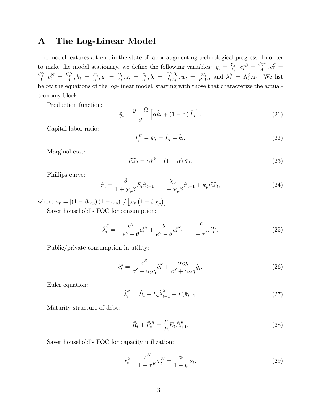# A The Log-Linear Model

The model features a trend in the state of labor-augmenting technological progress. In order to make the model stationary, we define the following variables:  $y_t = \frac{Y_y}{A_t}$  $\frac{Y_y}{A_t},\; c_t^{*S}\,=\,\frac{C_t^{*S}}{A_t}, c_t^{S}\,=\,$  $\frac{C_t^S}{A_t}, c_t^N = \frac{C_t^N}{A_t}, k_t = \frac{K_t}{A_t}$  $\frac{K_t}{A_t}, g_t = \frac{G_t}{A_t}$  $\frac{G_t}{A_t}, z_t = \frac{Z_t}{A_t}$  $\frac{Z_t}{A_t}, b_t = \frac{P_t^B B_t}{P_t A_t}$  $\frac{P_t^B B_t}{P_t A_t}, w_t = \frac{W_t}{P_t A_t}$  $\frac{W_t}{P_t A_t}$ , and  $\lambda_t^S = \Lambda_t^S A_t$ . We list below the equations of the log-linear model, starting with those that characterize the actualeconomy block.

Production function:

$$
\hat{y}_t = \frac{y + \Omega}{y} \left[ \alpha \hat{k}_t + (1 - \alpha) \hat{L}_t \right]. \tag{21}
$$

Capital-labor ratio:

$$
\hat{r}_t^K - \hat{w}_t = \hat{L}_t - \hat{k}_t. \tag{22}
$$

Marginal cost:

$$
\widehat{mc_t} = \alpha \widehat{r}_t^k + (1 - \alpha) \widehat{w}_t. \tag{23}
$$

Phillips curve:

$$
\hat{\pi}_t = \frac{\beta}{1 + \chi_p \beta} E_t \hat{\pi}_{t+1} + \frac{\chi_p}{1 + \chi_p \beta} \hat{\pi}_{t-1} + \kappa_p \widehat{mc}_t,\tag{24}
$$

where  $\kappa_p = \left[ (1 - \beta \omega_p) (1 - \omega_p) \right] / \left[ \omega_p (1 + \beta \chi_p) \right]$ .

Saver household's FOC for consumption:

$$
\hat{\lambda}_t^S = -\frac{e^{\gamma}}{e^{\gamma} - \theta} c_t^{*S} + \frac{\theta}{e^{\gamma} - \theta} c_{t-1}^{*S} - \frac{\tau^C}{1 + \tau^C} \hat{\tau}_t^C.
$$
\n(25)

Public/private consumption in utility:

$$
\hat{c}_t^* = \frac{c^S}{c^S + \alpha_G g} \hat{c}_t^S + \frac{\alpha_G g}{c^S + \alpha_G g} \hat{g}_t.
$$
\n(26)

Euler equation:

$$
\hat{\lambda}_t^S = \hat{R}_t + E_t \hat{\lambda}_{t+1}^S - E_t \hat{\pi}_{t+1}.
$$
\n(27)

Maturity structure of debt:

$$
\hat{R}_t + \hat{P}_t^B = \frac{\rho}{R} E_t \hat{P}_{t+1}^B.
$$
\n(28)

Saver household's FOC for capacity utilization:

$$
r_t^k - \frac{\tau^K}{1 - \tau^K} \tau_t^K = \frac{\psi}{1 - \psi} \hat{\nu}_t.
$$
\n
$$
(29)
$$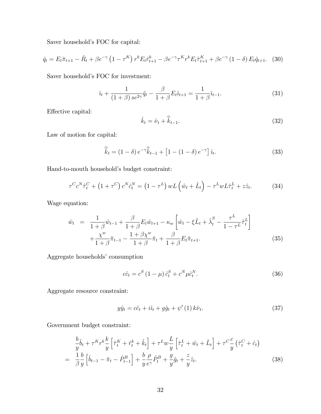Saver household's FOC for capital:

$$
\hat{q}_t = E_t \hat{\pi}_{t+1} - \hat{R}_t + \beta e^{-\gamma} \left( 1 - \tau^K \right) r^k E_t \hat{r}_{t+1}^k - \beta e^{-\gamma} \tau^K r^k E_t \hat{\tau}_{t+1}^K + \beta e^{-\gamma} \left( 1 - \delta \right) E_t \hat{q}_{t+1}. \tag{30}
$$

Saver household's FOC for investment:

$$
\hat{i}_t + \frac{1}{(1+\beta) s e^{2\gamma}} \hat{q}_t - \frac{\beta}{1+\beta} E_t \hat{i}_{t+1} = \frac{1}{1+\beta} \hat{i}_{t-1}.
$$
\n(31)

Effective capital:

$$
\hat{k}_t = \hat{\nu}_t + \hat{\overline{k}}_{t-1}.
$$
\n(32)

Law of motion for capital:

$$
\widehat{\overline{k}}_t = (1 - \delta) e^{-\gamma} \widehat{\overline{k}}_{t-1} + \left[ 1 - (1 - \delta) e^{-\gamma} \right] \widehat{\imath}_t.
$$
\n(33)

Hand-to-mouth household's budget constraint:

$$
\tau^C c^N \hat{\tau}_t^C + \left(1 + \tau^C\right) c^N \hat{c}_t^N = \left(1 - \tau^L\right) w L \left(\hat{w}_t + \hat{L}_t\right) - \tau^L w L \hat{\tau}_t^L + z \hat{z}_t. \tag{34}
$$

Wage equation:

$$
\hat{w}_t = \frac{1}{1+\beta}\hat{w}_{t-1} + \frac{\beta}{1+\beta}E_t\hat{w}_{t+1} - \kappa_w \left[\hat{w}_t - \xi\hat{L}_t + \hat{\lambda}_t^S - \frac{\tau^L}{1-\tau^L}\hat{\tau}_t^L\right] + \frac{\chi^w}{1+\beta}\hat{\pi}_{t-1} - \frac{1+\beta\chi^w}{1+\beta}\hat{\pi}_t + \frac{\beta}{1+\beta}E_t\hat{\pi}_{t+1}.
$$
\n(35)

Aggregate households' consumption

$$
c\hat{c}_t = c^S (1 - \mu) \,\hat{c}_t^S + c^N \mu \hat{c}_t^N. \tag{36}
$$

Aggregate resource constraint:

$$
y\hat{y}_t = c\hat{c}_t + i\hat{i}_t + g\hat{g}_t + \psi'(1) k\hat{\nu}_t.
$$
 (37)

Government budget constraint:

$$
\frac{b}{y}\hat{b}_t + \tau^K r^k \frac{k}{y} \left[ \hat{\tau}_t^K + \hat{r}_t^k + \hat{k}_t \right] + \tau^L w \frac{L}{y} \left[ \hat{\tau}_t^L + \hat{w}_t + \hat{L}_t \right] + \tau^C \frac{c}{y} \left( \hat{\tau}_t^C + \hat{c}_t \right)
$$
\n
$$
= \frac{1}{\beta} \frac{b}{y} \left[ \hat{b}_{t-1} - \hat{\pi}_t - \hat{P}_{t-1}^B \right] + \frac{b}{y} \frac{\rho}{e^{\gamma}} \hat{P}_t^B + \frac{g}{y} \hat{g}_t + \frac{z}{y} \hat{z}_t.
$$
\n(38)